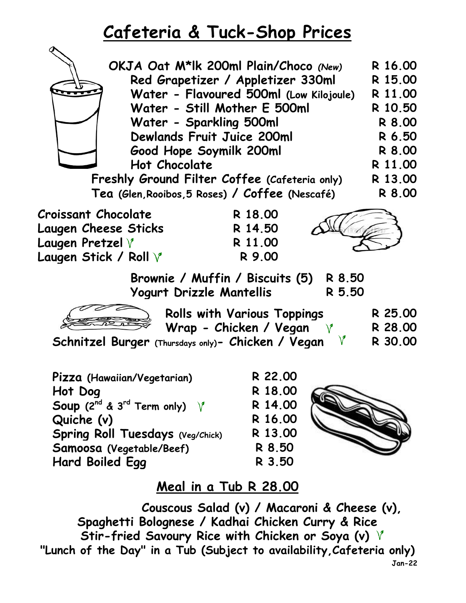## **Cafeteria & Tuck-Shop Prices**

| OKJA Oat M*lk 200ml Plain/Choco (New)                                | R 16.00<br>R 15.00                                                                        |         |  |  |  |
|----------------------------------------------------------------------|-------------------------------------------------------------------------------------------|---------|--|--|--|
| Red Grapetizer / Appletizer 330ml                                    |                                                                                           |         |  |  |  |
| Water - Flavoured 500ml (Low Kilojoule)                              |                                                                                           |         |  |  |  |
| Water - Still Mother E 500ml                                         |                                                                                           |         |  |  |  |
| Water - Sparkling 500ml                                              |                                                                                           |         |  |  |  |
| <b>Dewlands Fruit Juice 200ml</b>                                    |                                                                                           |         |  |  |  |
| Good Hope Soymilk 200ml                                              |                                                                                           |         |  |  |  |
| <b>Hot Chocolate</b>                                                 |                                                                                           |         |  |  |  |
| Freshly Ground Filter Coffee (Cafeteria only)                        |                                                                                           |         |  |  |  |
| Tea (Glen, Rooibos, 5 Roses) / Coffee (Nescafé)                      |                                                                                           | R 8.00  |  |  |  |
| Croissant Chocolate                                                  | R 18.00                                                                                   |         |  |  |  |
| Laugen Cheese Sticks                                                 | R 14.50                                                                                   |         |  |  |  |
| Laugen Pretzel $\forall$                                             | R 11.00                                                                                   |         |  |  |  |
| Laugen Stick / Roll $\operatorname{\mathsf{V}}$                      | R 9.00                                                                                    |         |  |  |  |
| Brownie / Muffin / Biscuits (5)<br>R 8.50                            |                                                                                           |         |  |  |  |
| Yogurt Drizzle Mantellis<br>R 5.50                                   |                                                                                           |         |  |  |  |
|                                                                      | <b>Rolls with Various Toppings</b>                                                        | R 25.00 |  |  |  |
| Wrap - Chicken / Vegan $\forall$                                     |                                                                                           |         |  |  |  |
| Schnitzel Burger (Thursdays only)- Chicken / Vegan $V$               |                                                                                           |         |  |  |  |
|                                                                      |                                                                                           |         |  |  |  |
| Pizza (Hawaiian/Vegetarian)                                          | R 22.00                                                                                   |         |  |  |  |
| Hot Dog                                                              | R 18.00                                                                                   |         |  |  |  |
| <b>Soup</b> (2 <sup>nd</sup> & 3 <sup>rd</sup> Term only) $\sqrt{ }$ | R 14.00                                                                                   |         |  |  |  |
| Quiche (v)                                                           | R 16.00                                                                                   |         |  |  |  |
| Spring Roll Tuesdays (Veg/Chick)                                     | R 13.00                                                                                   |         |  |  |  |
| Samoosa (Vegetable/Beef)                                             | R 8.50                                                                                    |         |  |  |  |
| Hard Boiled Egg                                                      | R 3.50                                                                                    |         |  |  |  |
|                                                                      | $\mathbf{L} = \mathbf{L} \cdot \mathbf{L}$ and $\mathbf{L} = \mathbf{L} \cdot \mathbf{L}$ |         |  |  |  |

## **Meal in a Tub R 28.00**

**Jan-22 Stir-fried Savoury Rice with Chicken or Soya (v) "Lunch of the Day" in a Tub (Subject to availability,Cafeteria only) Couscous Salad (v) / Macaroni & Cheese (v), Spaghetti Bolognese / Kadhai Chicken Curry & Rice**